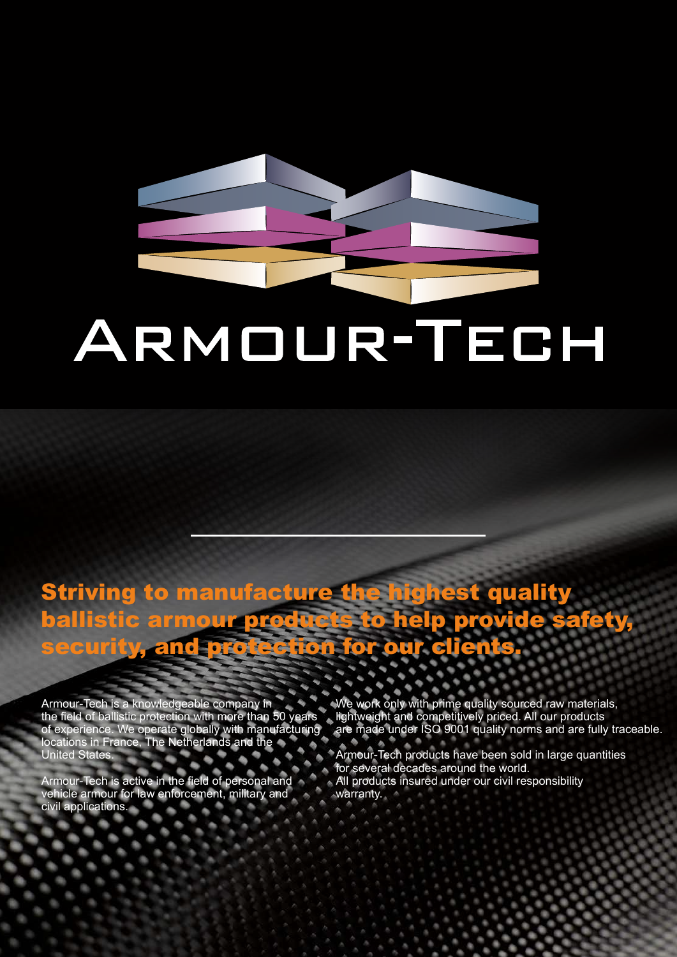# ARMOUR-TECH

## Striving to manufacture the highest quality ballistic armour products to help provide safety, ecurity, and p<del>rotectio</del>n for our cli

Armour-Tech is a knowledgeable company in the field of ballistic protection with more than 50 years of experience. We operate globally with manufacturing locations in France, The Netherlands and the United States.

Armour-Tech is active in the field of personal and vehicle armour for law enforcement, military and civil applications.

We work only with prime quality sourced raw materials, lightweight and competitively priced. All our products are made under ISO 9001 quality norms and are fully traceable.

Armour-Tech products have been sold in large quantities for several decades around the world.

All products insured under our civil responsibility warranty.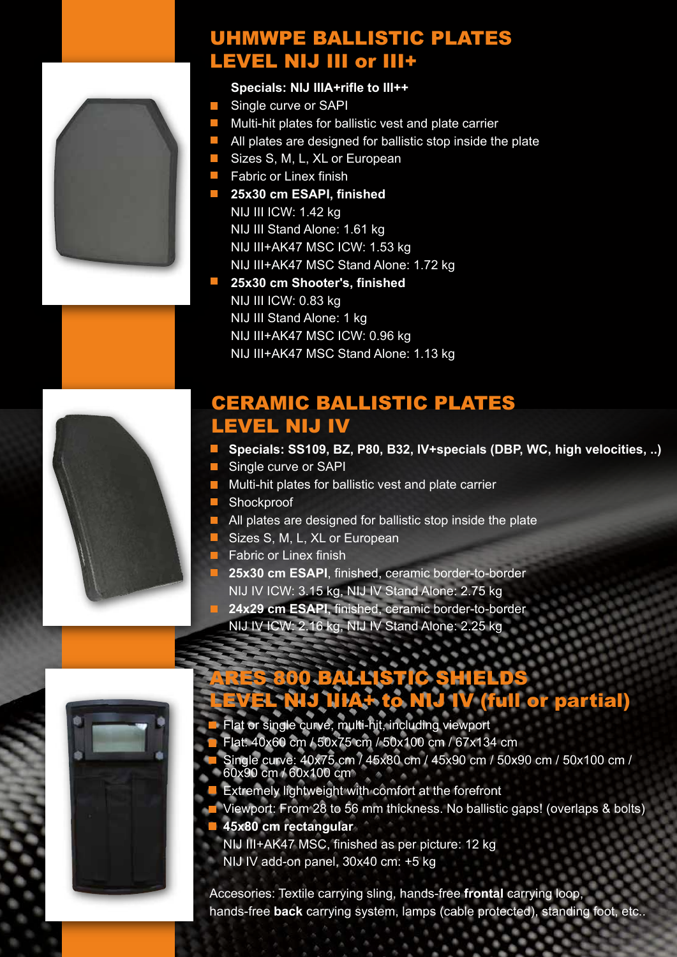#### UHMWPE BALLISTIC PLATES LEVEL NIJ III or III+

#### **Specials: NIJ IIIA+rifle to III++**

- Single curve or SAPI  $\mathcal{L}_{\mathcal{A}}$
- $\blacksquare$  Multi-hit plates for ballistic vest and plate carrier
- $\blacksquare$  All plates are designed for ballistic stop inside the plate
- Sizes S, M, L, XL or European
- **Fabric or Linex finish**
- **25x30 cm ESAPI, finished** NIJ III ICW: 1.42 kg NIJ III Stand Alone: 1.61 kg NIJ III+AK47 MSC ICW: 1.53 kg NIJ III+AK47 MSC Stand Alone: 1.72 kg
- **25x30 cm Shooter's, finished** NIJ III ICW: 0.83 kg NIJ III Stand Alone: 1 kg NIJ III+AK47 MSC ICW: 0.96 kg NIJ III+AK47 MSC Stand Alone: 1.13 kg

#### CERAMIC BALLISTIC PLATES LEVEL NIJ IV

- Specials: SS109, BZ, P80, B32, IV+specials (DBP, WC, high velocities, ..)
- Single curve or SAPI
- **Multi-hit plates for ballistic vest and plate carrier**
- **Shockproof**
- **All plates are designed for ballistic stop inside the plate**
- Sizes S, M, L, XL or European
- **Fabric or Linex finish**
- **25x30 cm ESAPI**, finished, ceramic border-to-border NIJ IV ICW: 3.15 kg, NIJ IV Stand Alone: 2.75 kg
- **24x29 cm ESAPI**, finished, ceramic border-to-border
- NIJ IV ICW: 2.16 kg, NIJ IV Stand Alone: 2.25 kg



## ARES 800 BALLISTIC SHIELDS LEVEL NIJ IIIA+ to NIJ IV (full or partial)

- Flat or single curve, multi-hit, including viewport
- Flat: 40x60 cm / 50x75 cm / 50x100 cm / 67x134 cm
- Single curve: 40x75 cm / 45x80 cm / 45x90 cm / 50x90 cm / 50x100 cm / 60x90 cm / 60x100 cm
- **Extremely lightweight with comfort at the forefront**
- **T** Viewport: From 28 to 56 mm thickness. No ballistic gaps! (overlaps & bolts)
- **45x80 cm rectangular**
- NIJ III+AK47 MSC, finished as per picture: 12 kg
	- NIJ IV add-on panel, 30x40 cm: +5 kg

Accesories: Textile carrying sling, hands-free **frontal** carrying loop, hands-free **back** carrying system, lamps (cable protected), standing foot, etc..



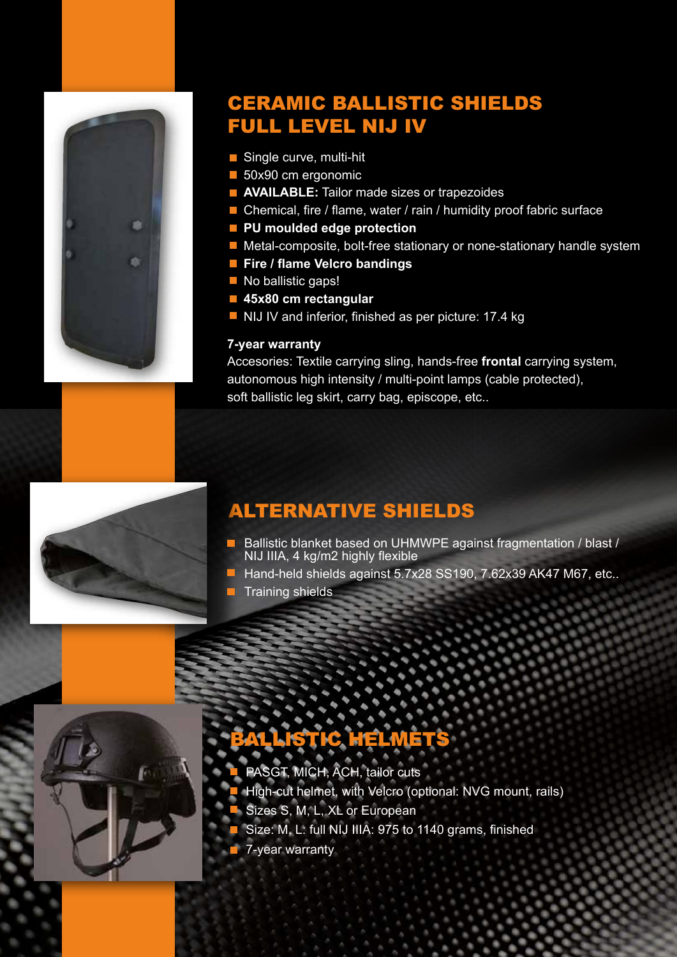

### CERAMIC BALLISTIC SHIELDS FULL LEVEL NIJ IV

- Single curve, multi-hit
- 50x90 cm ergonomic
- **AVAILABLE:** Tailor made sizes or trapezoides
- $\blacksquare$  Chemical, fire / flame, water / rain / humidity proof fabric surface
- **PU moulded edge protection**
- $\blacksquare$  Metal-composite, bolt-free stationary or none-stationary handle system
- **Fire / flame Velcro bandings**
- No ballistic gaps!
- **45x80 cm rectangular**
- NIJ IV and inferior, finished as per picture: 17.4 kg

#### **7-year warranty**

Accesories: Textile carrying sling, hands-free **frontal** carrying system, autonomous high intensity / multi-point lamps (cable protected), soft ballistic leg skirt, carry bag, episcope, etc..



#### ALTERNATIVE SHIELDS

- Ballistic blanket based on UHMWPE against fragmentation / blast / NIJ IIIA, 4 kg/m2 highly flexible
- Hand-held shields against 5.7x28 SS190, 7.62x39 AK47 M67, etc..
- $\blacksquare$  Training shields



# BALLISTIC HELMETS

- PASGT, MICH, ACH, tailor cuts High-cut helmet, with Velcro (optional: NVG mount, rails) Sizes S, M, L, XL or European
- Size: M, L: full NIJ IIIA: 975 to 1140 grams, finished
- 7-year warranty